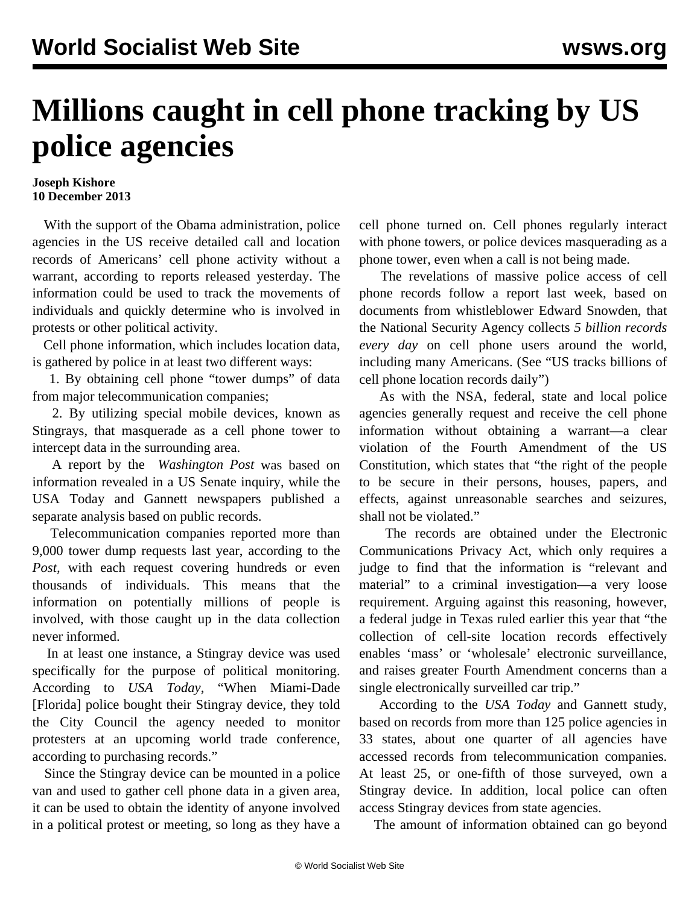## **Millions caught in cell phone tracking by US police agencies**

## **Joseph Kishore 10 December 2013**

 With the support of the Obama administration, police agencies in the US receive detailed call and location records of Americans' cell phone activity without a warrant, according to reports released yesterday. The information could be used to track the movements of individuals and quickly determine who is involved in protests or other political activity.

 Cell phone information, which includes location data, is gathered by police in at least two different ways:

 1. By obtaining cell phone "tower dumps" of data from major telecommunication companies;

 2. By utilizing special mobile devices, known as Stingrays, that masquerade as a cell phone tower to intercept data in the surrounding area.

 A report by the *[Washington Post](http://www.washingtonpost.com/world/national-security/agencies-collected-data-on-americans-cellphone-use-in-thousands-of-tower-dumps/2013/12/08/20549190-5e80-11e3-be07-006c776266ed_print.html)* was based on information revealed in a US Senate inquiry, while the [USA Today](http://www.usatoday.com/story/news/nation/2013/12/08/cellphone-data-spying-nsa-police/3902809/) and Gannett newspapers published a separate analysis based on public records.

 Telecommunication companies reported more than 9,000 tower dump requests last year, according to the *Post,* with each request covering hundreds or even thousands of individuals. This means that the information on potentially millions of people is involved, with those caught up in the data collection never informed.

 In at least one instance, a Stingray device was used specifically for the purpose of political monitoring. According to *USA Today*, "When Miami-Dade [Florida] police bought their Stingray device, they told the City Council the agency needed to monitor protesters at an upcoming world trade conference, according to purchasing records."

 Since the Stingray device can be mounted in a police van and used to gather cell phone data in a given area, it can be used to obtain the identity of anyone involved in a political protest or meeting, so long as they have a cell phone turned on. Cell phones regularly interact with phone towers, or police devices masquerading as a phone tower, even when a call is not being made.

 The revelations of massive police access of cell phone records follow a report last week, based on documents from whistleblower Edward Snowden, that the National Security Agency collects *5 billion records every day* on cell phone users around the world, including many Americans. (See "[US tracks billions of](/en/articles/2013/12/05/snow-d05.html) [cell phone location records daily"](/en/articles/2013/12/05/snow-d05.html))

 As with the NSA, federal, state and local police agencies generally request and receive the cell phone information without obtaining a warrant—a clear violation of the Fourth Amendment of the US Constitution, which states that "the right of the people to be secure in their persons, houses, papers, and effects, against unreasonable searches and seizures, shall not be violated."

 The records are obtained under the Electronic Communications Privacy Act, which only requires a judge to find that the information is "relevant and material" to a criminal investigation—a very loose requirement. Arguing against this reasoning, however, a federal judge in Texas ruled earlier this year that "the collection of cell-site location records effectively enables 'mass' or 'wholesale' electronic surveillance, and raises greater Fourth Amendment concerns than a single electronically surveilled car trip."

 According to the *USA Today* and Gannett study, based on records from more than 125 police agencies in 33 states, about one quarter of all agencies have accessed records from telecommunication companies. At least 25, or one-fifth of those surveyed, own a Stingray device. In addition, local police can often access Stingray devices from state agencies.

The amount of information obtained can go beyond